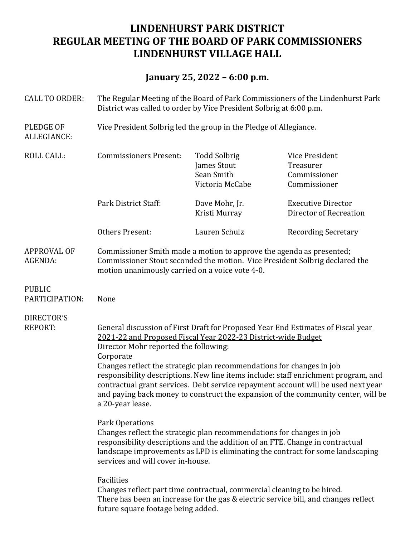# **LINDENHURST PARK DISTRICT REGULAR MEETING OF THE BOARD OF PARK COMMISSIONERS LINDENHURST VILLAGE HALL**

# **January 25, 2022 – 6:00 p.m.**

| <b>CALL TO ORDER:</b>           | The Regular Meeting of the Board of Park Commissioners of the Lindenhurst Park<br>District was called to order by Vice President Solbrig at 6:00 p.m.                                                                                                                                                                                                                                                                                                                                                                                                                |                                                                     |                                                             |
|---------------------------------|----------------------------------------------------------------------------------------------------------------------------------------------------------------------------------------------------------------------------------------------------------------------------------------------------------------------------------------------------------------------------------------------------------------------------------------------------------------------------------------------------------------------------------------------------------------------|---------------------------------------------------------------------|-------------------------------------------------------------|
| <b>PLEDGE OF</b><br>ALLEGIANCE: | Vice President Solbrig led the group in the Pledge of Allegiance.                                                                                                                                                                                                                                                                                                                                                                                                                                                                                                    |                                                                     |                                                             |
| <b>ROLL CALL:</b>               | <b>Commissioners Present:</b>                                                                                                                                                                                                                                                                                                                                                                                                                                                                                                                                        | <b>Todd Solbrig</b><br>James Stout<br>Sean Smith<br>Victoria McCabe | Vice President<br>Treasurer<br>Commissioner<br>Commissioner |
|                                 | Park District Staff:                                                                                                                                                                                                                                                                                                                                                                                                                                                                                                                                                 | Dave Mohr, Jr.<br>Kristi Murray                                     | <b>Executive Director</b><br>Director of Recreation         |
|                                 | <b>Others Present:</b>                                                                                                                                                                                                                                                                                                                                                                                                                                                                                                                                               | Lauren Schulz                                                       | <b>Recording Secretary</b>                                  |
| <b>APPROVAL OF</b><br>AGENDA:   | Commissioner Smith made a motion to approve the agenda as presented;<br>Commissioner Stout seconded the motion. Vice President Solbrig declared the<br>motion unanimously carried on a voice vote 4-0.                                                                                                                                                                                                                                                                                                                                                               |                                                                     |                                                             |
| <b>PUBLIC</b><br>PARTICIPATION: | None                                                                                                                                                                                                                                                                                                                                                                                                                                                                                                                                                                 |                                                                     |                                                             |
| DIRECTOR'S<br><b>REPORT:</b>    | General discussion of First Draft for Proposed Year End Estimates of Fiscal year<br>2021-22 and Proposed Fiscal Year 2022-23 District-wide Budget<br>Director Mohr reported the following:<br>Corporate<br>Changes reflect the strategic plan recommendations for changes in job<br>responsibility descriptions. New line items include: staff enrichment program, and<br>contractual grant services. Debt service repayment account will be used next year<br>and paying back money to construct the expansion of the community center, will be<br>a 20-year lease. |                                                                     |                                                             |
|                                 | Park Operations<br>Changes reflect the strategic plan recommendations for changes in job<br>responsibility descriptions and the addition of an FTE. Change in contractual<br>landscape improvements as LPD is eliminating the contract for some landscaping<br>services and will cover in-house.                                                                                                                                                                                                                                                                     |                                                                     |                                                             |
|                                 | Facilities                                                                                                                                                                                                                                                                                                                                                                                                                                                                                                                                                           |                                                                     |                                                             |

Changes reflect part time contractual, commercial cleaning to be hired. There has been an increase for the gas & electric service bill, and changes reflect future square footage being added.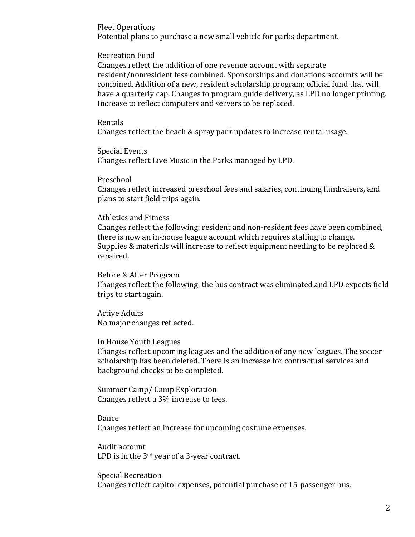**Fleet Operations** Potential plans to purchase a new small vehicle for parks department.

Recreation Fund

Changes reflect the addition of one revenue account with separate resident/nonresident fess combined. Sponsorships and donations accounts will be combined. Addition of a new, resident scholarship program; official fund that will have a quarterly cap. Changes to program guide delivery, as LPD no longer printing. Increase to reflect computers and servers to be replaced.

## Rentals

Changes reflect the beach  $\&$  spray park updates to increase rental usage.

Special Events Changes reflect Live Music in the Parks managed by LPD.

Preschool Changes reflect increased preschool fees and salaries, continuing fundraisers, and plans to start field trips again.

### Athletics and Fitness

Changes reflect the following: resident and non-resident fees have been combined, there is now an in-house league account which requires staffing to change. Supplies & materials will increase to reflect equipment needing to be replaced  $\&$ repaired.

Before & After Program

Changes reflect the following: the bus contract was eliminated and LPD expects field trips to start again.

**Active Adults** No major changes reflected.

### In House Youth Leagues

Changes reflect upcoming leagues and the addition of any new leagues. The soccer scholarship has been deleted. There is an increase for contractual services and background checks to be completed.

Summer Camp/ Camp Exploration Changes reflect a 3% increase to fees.

Dance Changes reflect an increase for upcoming costume expenses.

Audit account LPD is in the  $3<sup>rd</sup>$  year of a 3-year contract.

Special Recreation Changes reflect capitol expenses, potential purchase of 15-passenger bus.